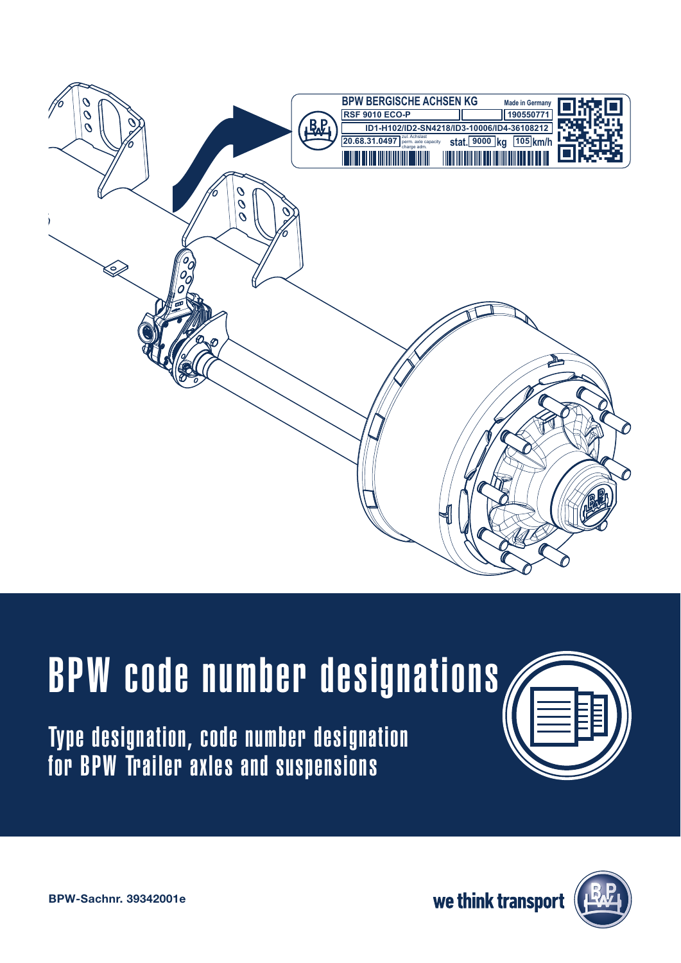

# BPW code number designations

Type designation, code number designation for BPW Trailer axles and suspensions





BPW-Sachnr. 39342001e

we think transport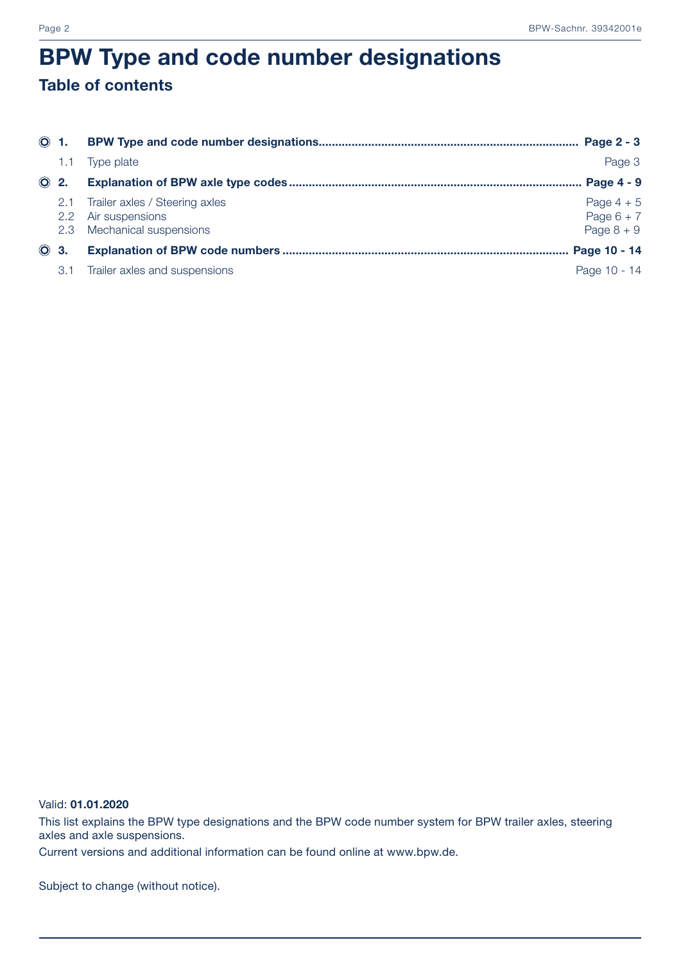### BPW Type and code number designations Table of contents

|             | $\odot$ 1. |                                                                                         |                                              |
|-------------|------------|-----------------------------------------------------------------------------------------|----------------------------------------------|
|             | 1.1        | Type plate                                                                              | Page 3                                       |
| $\odot$ 2.  |            |                                                                                         | Page 4 - 9                                   |
|             |            | 2.1 Trailer axles / Steering axles<br>2.2 Air suspensions<br>2.3 Mechanical suspensions | Page $4 + 5$<br>Page $6 + 7$<br>Page $8 + 9$ |
| <b>O</b> 3. |            |                                                                                         |                                              |
|             | 3.1        | Trailer axles and suspensions                                                           | Page 10 - 14                                 |

#### Valid: 01.01.2020

This list explains the BPW type designations and the BPW code number system for BPW trailer axles, steering axles and axle suspensions.

Current versions and additional information can be found online at www.bpw.de.

Subject to change (without notice).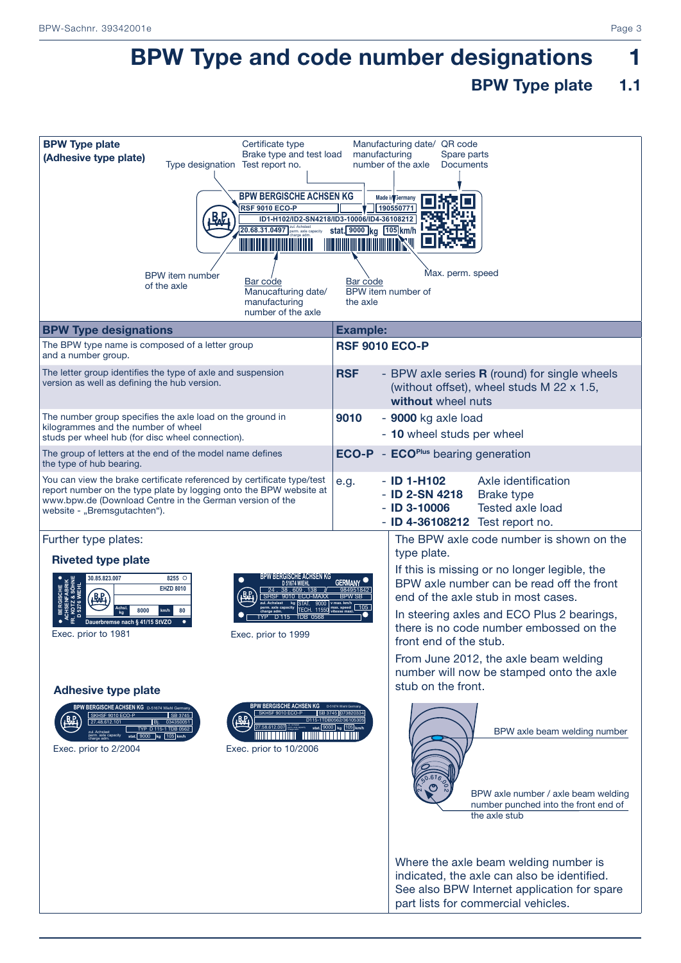# BPW Type and code number designations 1

#### BPW Type plate 1.1

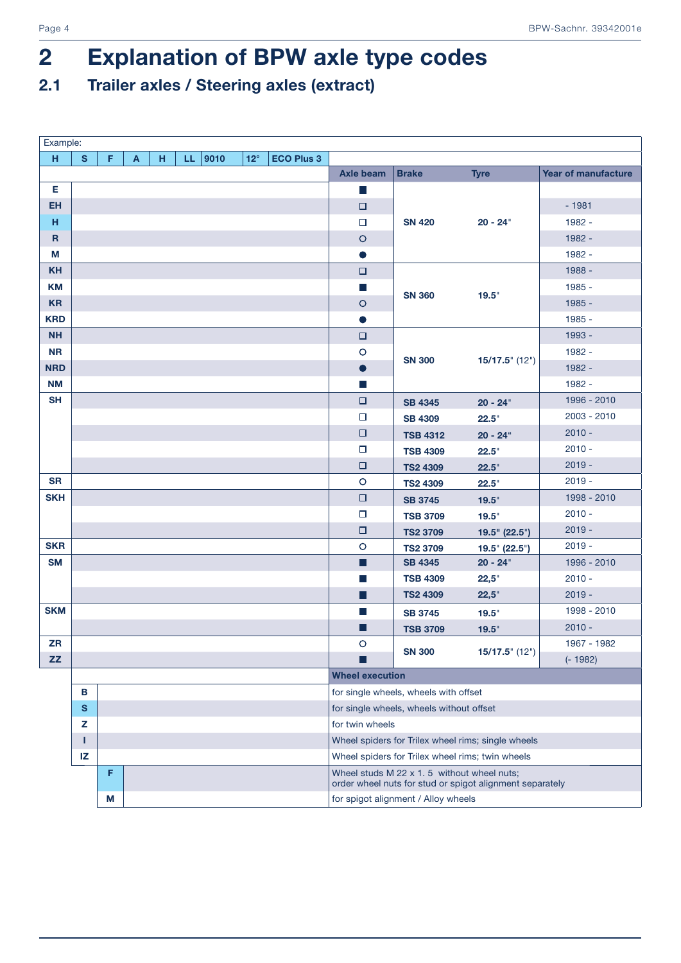# 2 Explanation of BPW axle type codes

### 2.1 Trailer axles / Steering axles (extract)

| Example:    |           |   |   |   |     |      |            |                   |                                     |                                            |                                                          |                     |  |  |  |  |
|-------------|-----------|---|---|---|-----|------|------------|-------------------|-------------------------------------|--------------------------------------------|----------------------------------------------------------|---------------------|--|--|--|--|
| H           | S.        | F | A | н | LL. | 9010 | $12^\circ$ | <b>ECO Plus 3</b> |                                     |                                            |                                                          |                     |  |  |  |  |
|             |           |   |   |   |     |      |            |                   | <b>Axle beam</b>                    | <b>Brake</b>                               | <b>Tyre</b>                                              | Year of manufacture |  |  |  |  |
| Е.          |           |   |   |   |     |      |            |                   | $\mathbb{Z}$                        |                                            |                                                          |                     |  |  |  |  |
| <b>EH</b>   |           |   |   |   |     |      |            |                   | $\Box$                              |                                            |                                                          | $-1981$             |  |  |  |  |
| н           |           |   |   |   |     |      |            |                   | $\Box$                              | <b>SN 420</b>                              | $20 - 24"$                                               | 1982 -              |  |  |  |  |
| $\mathbf R$ |           |   |   |   |     |      |            |                   | $\circ$                             |                                            |                                                          | 1982 -              |  |  |  |  |
| M           |           |   |   |   |     |      |            |                   | $\bullet$                           |                                            |                                                          | 1982 -              |  |  |  |  |
| <b>KH</b>   |           |   |   |   |     |      |            |                   | $\Box$                              |                                            |                                                          | 1988 -              |  |  |  |  |
| <b>KM</b>   |           |   |   |   |     |      |            |                   | $\mathcal{C}^{\mathcal{A}}$         |                                            |                                                          | 1985 -              |  |  |  |  |
| <b>KR</b>   |           |   |   |   |     |      |            |                   | $\circ$                             | <b>SN 360</b>                              | 19.5"                                                    | 1985 -              |  |  |  |  |
| <b>KRD</b>  |           |   |   |   |     |      |            |                   | $\bullet$                           |                                            |                                                          | 1985 -              |  |  |  |  |
| <b>NH</b>   |           |   |   |   |     |      |            |                   | $\Box$                              |                                            |                                                          | 1993 -              |  |  |  |  |
| <b>NR</b>   |           |   |   |   |     |      |            |                   | $\circ$                             |                                            |                                                          | 1982 -              |  |  |  |  |
| <b>NRD</b>  |           |   |   |   |     |      |            |                   | $\bullet$                           | <b>SN 300</b>                              | $15/17.5$ " (12")                                        | 1982 -              |  |  |  |  |
| <b>NM</b>   |           |   |   |   |     |      |            |                   | $\Box$                              |                                            |                                                          | 1982 -              |  |  |  |  |
| <b>SH</b>   |           |   |   |   |     |      |            |                   | $\Box$                              | <b>SB 4345</b>                             | $20 - 24"$                                               | 1996 - 2010         |  |  |  |  |
|             |           |   |   |   |     |      |            |                   | $\Box$                              | <b>SB 4309</b>                             | 22.5"                                                    | 2003 - 2010         |  |  |  |  |
|             |           |   |   |   |     |      |            |                   | $\Box$                              | <b>TSB 4312</b>                            | $20 - 24$ "                                              | $2010 -$            |  |  |  |  |
|             |           |   |   |   |     |      |            |                   | $\Box$                              | <b>TSB 4309</b>                            | 22.5"                                                    | $2010 -$            |  |  |  |  |
|             |           |   |   |   |     |      |            |                   | $\Box$                              | <b>TS2 4309</b>                            | 22.5"                                                    | $2019 -$            |  |  |  |  |
| <b>SR</b>   |           |   |   |   |     |      |            |                   | $\circ$                             | <b>TS2 4309</b>                            | 22.5"                                                    | $2019 -$            |  |  |  |  |
| <b>SKH</b>  |           |   |   |   |     |      |            |                   | $\Box$                              | <b>SB 3745</b>                             | 19.5"                                                    | 1998 - 2010         |  |  |  |  |
|             |           |   |   |   |     |      |            |                   | $\Box$                              | <b>TSB 3709</b>                            | 19.5"                                                    | $2010 -$            |  |  |  |  |
|             |           |   |   |   |     |      |            |                   | $\Box$                              | <b>TS2 3709</b>                            | 19.5" (22.5")                                            | $2019 -$            |  |  |  |  |
| <b>SKR</b>  |           |   |   |   |     |      |            |                   | $\circ$                             | <b>TS2 3709</b>                            | 19.5" (22.5")                                            | $2019 -$            |  |  |  |  |
| <b>SM</b>   |           |   |   |   |     |      |            |                   | ▉                                   | <b>SB 4345</b>                             | $20 - 24$ "                                              | 1996 - 2010         |  |  |  |  |
|             |           |   |   |   |     |      |            |                   | $\mathbb{R}^3$                      | <b>TSB 4309</b>                            | 22,5"                                                    | $2010 -$            |  |  |  |  |
|             |           |   |   |   |     |      |            |                   | П                                   | <b>TS2 4309</b>                            | 22,5"                                                    | $2019 -$            |  |  |  |  |
| <b>SKM</b>  |           |   |   |   |     |      |            |                   | $\mathbb{R}^2$                      | <b>SB 3745</b>                             | 19.5"                                                    | 1998 - 2010         |  |  |  |  |
|             |           |   |   |   |     |      |            |                   | ⊔                                   | <b>TSB 3709</b>                            | 19.5"                                                    | $2010 -$            |  |  |  |  |
| <b>ZR</b>   |           |   |   |   |     |      |            |                   | $\circ$                             | <b>SN 300</b>                              | $15/17.5$ " (12")                                        | 1967 - 1982         |  |  |  |  |
| ZZ          |           |   |   |   |     |      |            |                   |                                     |                                            |                                                          | $(-1982)$           |  |  |  |  |
|             |           |   |   |   |     |      |            |                   | <b>Wheel execution</b>              |                                            |                                                          |                     |  |  |  |  |
|             | В         |   |   |   |     |      |            |                   |                                     | for single wheels, wheels with offset      |                                                          |                     |  |  |  |  |
|             | ${\bf s}$ |   |   |   |     |      |            |                   |                                     | for single wheels, wheels without offset   |                                                          |                     |  |  |  |  |
|             | z         |   |   |   |     |      |            |                   | for twin wheels                     |                                            |                                                          |                     |  |  |  |  |
|             | т         |   |   |   |     |      |            |                   |                                     |                                            | Wheel spiders for Trilex wheel rims; single wheels       |                     |  |  |  |  |
|             | IZ        |   |   |   |     |      |            |                   |                                     |                                            | Wheel spiders for Trilex wheel rims; twin wheels         |                     |  |  |  |  |
|             |           | F |   |   |     |      |            |                   |                                     | Wheel studs M 22 x 1.5 without wheel nuts; | order wheel nuts for stud or spigot alignment separately |                     |  |  |  |  |
|             |           | М |   |   |     |      |            |                   | for spigot alignment / Alloy wheels |                                            |                                                          |                     |  |  |  |  |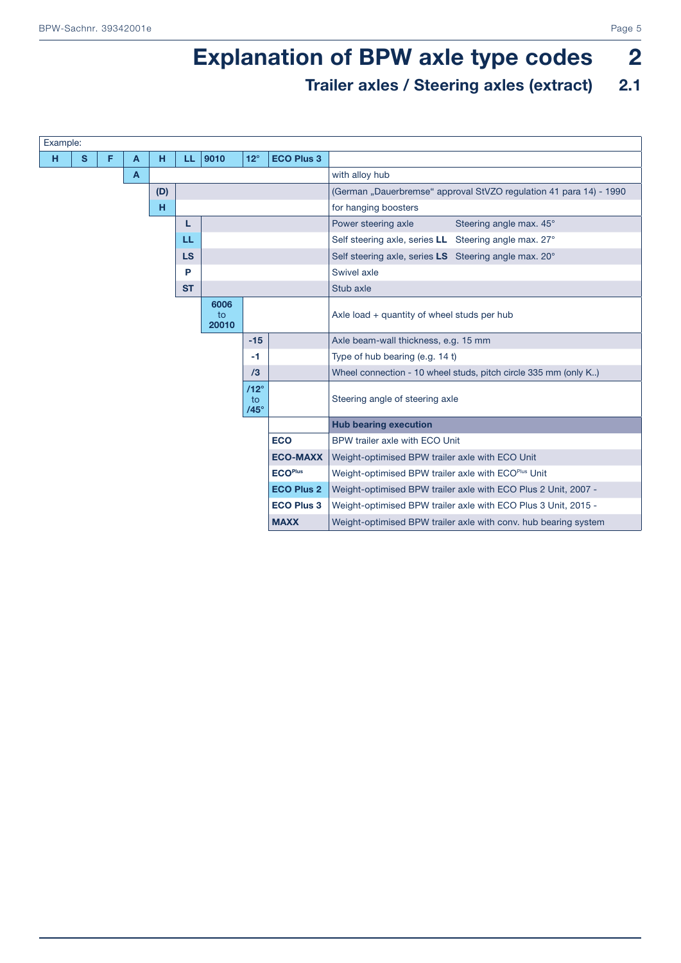# **Explanation of BPW axle type codes** 2

### Trailer axles / Steering axles (extract) 2.1

| Example: |          |   |   |     |           |                     |                                  |                   |                                                                    |  |  |  |  |  |  |
|----------|----------|---|---|-----|-----------|---------------------|----------------------------------|-------------------|--------------------------------------------------------------------|--|--|--|--|--|--|
| н        | <b>S</b> | F | A | н   | LL.       | 9010                | $12^\circ$                       | <b>ECO Plus 3</b> |                                                                    |  |  |  |  |  |  |
|          |          |   | A |     |           |                     |                                  |                   | with alloy hub                                                     |  |  |  |  |  |  |
|          |          |   |   | (D) |           |                     |                                  |                   | (German "Dauerbremse" approval StVZO regulation 41 para 14) - 1990 |  |  |  |  |  |  |
|          |          |   |   | н   |           |                     |                                  |                   | for hanging boosters                                               |  |  |  |  |  |  |
|          |          |   |   |     | L         |                     |                                  |                   | Steering angle max. 45°<br>Power steering axle                     |  |  |  |  |  |  |
|          |          |   |   |     | LL        |                     |                                  |                   | Self steering axle, series LL Steering angle max. 27°              |  |  |  |  |  |  |
|          |          |   |   |     | <b>LS</b> |                     |                                  |                   | Self steering axle, series LS Steering angle max. 20°              |  |  |  |  |  |  |
|          |          |   |   |     | P         |                     |                                  |                   | Swivel axle                                                        |  |  |  |  |  |  |
|          |          |   |   |     | <b>ST</b> |                     |                                  |                   | Stub axle                                                          |  |  |  |  |  |  |
|          |          |   |   |     |           | 6006<br>to<br>20010 |                                  |                   | Axle load + quantity of wheel studs per hub                        |  |  |  |  |  |  |
|          |          |   |   |     |           |                     | $-15$                            |                   | Axle beam-wall thickness, e.g. 15 mm                               |  |  |  |  |  |  |
|          |          |   |   |     |           |                     | $-1$                             |                   | Type of hub bearing (e.g. 14 t)                                    |  |  |  |  |  |  |
|          |          |   |   |     |           |                     | /3                               |                   | Wheel connection - 10 wheel studs, pitch circle 335 mm (only K)    |  |  |  |  |  |  |
|          |          |   |   |     |           |                     | $/12^\circ$<br>to<br>$/45^\circ$ |                   | Steering angle of steering axle                                    |  |  |  |  |  |  |
|          |          |   |   |     |           |                     |                                  |                   | <b>Hub bearing execution</b>                                       |  |  |  |  |  |  |
|          |          |   |   |     |           |                     |                                  | <b>ECO</b>        | BPW trailer axle with ECO Unit                                     |  |  |  |  |  |  |
|          |          |   |   |     |           |                     |                                  | <b>ECO-MAXX</b>   | Weight-optimised BPW trailer axle with ECO Unit                    |  |  |  |  |  |  |
|          |          |   |   |     |           |                     |                                  | <b>ECOPlus</b>    | Weight-optimised BPW trailer axle with ECOPlus Unit                |  |  |  |  |  |  |
|          |          |   |   |     |           |                     |                                  | <b>ECO Plus 2</b> | Weight-optimised BPW trailer axle with ECO Plus 2 Unit, 2007 -     |  |  |  |  |  |  |
|          |          |   |   |     |           |                     |                                  | <b>ECO Plus 3</b> | Weight-optimised BPW trailer axle with ECO Plus 3 Unit, 2015 -     |  |  |  |  |  |  |
|          |          |   |   |     |           |                     |                                  | <b>MAXX</b>       | Weight-optimised BPW trailer axle with conv. hub bearing system    |  |  |  |  |  |  |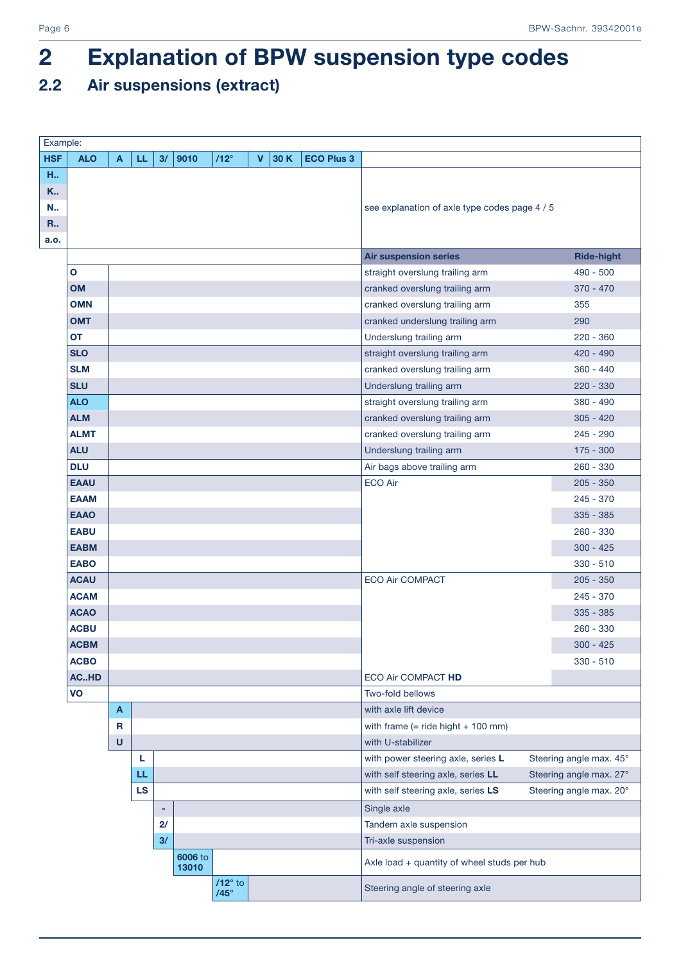### 2.2 Air suspensions (extract)

| Example:                             |              |   |           |    |                  |                               |             |      |                   |                                             |                         |
|--------------------------------------|--------------|---|-----------|----|------------------|-------------------------------|-------------|------|-------------------|---------------------------------------------|-------------------------|
| <b>HSF</b>                           | <b>ALO</b>   | A | LL.       | 3/ | 9010             | $/12^\circ$                   | $\mathbf v$ | 30 K | <b>ECO Plus 3</b> |                                             |                         |
| H.,<br>K<br>N.,<br><b>R.</b><br>a.o. |              |   |           |    |                  |                               |             |      |                   | see explanation of axle type codes page 4/5 |                         |
|                                      |              |   |           |    |                  |                               |             |      |                   | <b>Air suspension series</b>                | <b>Ride-hight</b>       |
|                                      | $\mathbf{o}$ |   |           |    |                  |                               |             |      |                   | straight overslung trailing arm             | $490 - 500$             |
|                                      | <b>OM</b>    |   |           |    |                  |                               |             |      |                   | cranked overslung trailing arm              | $370 - 470$             |
|                                      | <b>OMN</b>   |   |           |    |                  |                               |             |      |                   | cranked overslung trailing arm              | 355                     |
|                                      | <b>OMT</b>   |   |           |    |                  |                               |             |      |                   | cranked underslung trailing arm             | 290                     |
|                                      | <b>OT</b>    |   |           |    |                  |                               |             |      |                   | Underslung trailing arm                     | $220 - 360$             |
|                                      | <b>SLO</b>   |   |           |    |                  |                               |             |      |                   | straight overslung trailing arm             | $420 - 490$             |
|                                      | <b>SLM</b>   |   |           |    |                  |                               |             |      |                   | cranked overslung trailing arm              | $360 - 440$             |
|                                      | <b>SLU</b>   |   |           |    |                  |                               |             |      |                   | Underslung trailing arm                     | $220 - 330$             |
|                                      | <b>ALO</b>   |   |           |    |                  |                               |             |      |                   | straight overslung trailing arm             | $380 - 490$             |
|                                      | <b>ALM</b>   |   |           |    |                  |                               |             |      |                   | cranked overslung trailing arm              | $305 - 420$             |
|                                      | <b>ALMT</b>  |   |           |    |                  |                               |             |      |                   | cranked overslung trailing arm              | $245 - 290$             |
|                                      | <b>ALU</b>   |   |           |    |                  |                               |             |      |                   | Underslung trailing arm                     | $175 - 300$             |
|                                      | <b>DLU</b>   |   |           |    |                  |                               |             |      |                   | Air bags above trailing arm                 | $260 - 330$             |
|                                      | <b>EAAU</b>  |   |           |    |                  |                               |             |      |                   | <b>ECO Air</b>                              | $205 - 350$             |
|                                      | <b>EAAM</b>  |   |           |    |                  |                               |             |      |                   |                                             | $245 - 370$             |
|                                      | <b>EAAO</b>  |   |           |    |                  |                               |             |      |                   |                                             | $335 - 385$             |
|                                      | <b>EABU</b>  |   |           |    |                  |                               |             |      |                   |                                             | $260 - 330$             |
|                                      | <b>EABM</b>  |   |           |    |                  |                               |             |      |                   |                                             | $300 - 425$             |
|                                      | <b>EABO</b>  |   |           |    |                  |                               |             |      |                   |                                             | $330 - 510$             |
|                                      | <b>ACAU</b>  |   |           |    |                  |                               |             |      |                   | <b>ECO Air COMPACT</b>                      | $205 - 350$             |
|                                      | <b>ACAM</b>  |   |           |    |                  |                               |             |      |                   |                                             | $245 - 370$             |
|                                      | <b>ACAO</b>  |   |           |    |                  |                               |             |      |                   |                                             | $335 - 385$             |
|                                      | <b>ACBU</b>  |   |           |    |                  |                               |             |      |                   |                                             | $260 - 330$             |
|                                      | <b>ACBM</b>  |   |           |    |                  |                               |             |      |                   |                                             | $300 - 425$             |
|                                      | <b>ACBO</b>  |   |           |    |                  |                               |             |      |                   |                                             | $330 - 510$             |
|                                      | ACHD         |   |           |    |                  |                               |             |      |                   | ECO Air COMPACT HD                          |                         |
|                                      | VO           |   |           |    |                  |                               |             |      |                   | Two-fold bellows                            |                         |
|                                      |              | A |           |    |                  |                               |             |      |                   | with axle lift device                       |                         |
|                                      |              | R |           |    |                  |                               |             |      |                   | with frame $(=$ ride hight $+$ 100 mm)      |                         |
|                                      |              | U |           |    |                  |                               |             |      |                   | with U-stabilizer                           |                         |
|                                      |              |   | L         |    |                  |                               |             |      |                   | with power steering axle, series L          | Steering angle max. 45° |
|                                      |              |   | LL        |    |                  |                               |             |      |                   | with self steering axle, series LL          | Steering angle max. 27° |
|                                      |              |   | <b>LS</b> |    |                  |                               |             |      |                   | with self steering axle, series LS          | Steering angle max. 20° |
|                                      |              |   |           | ٠  |                  |                               |             |      |                   | Single axle                                 |                         |
|                                      |              |   |           | 2/ |                  |                               |             |      |                   | Tandem axle suspension                      |                         |
|                                      |              |   |           | 3/ |                  |                               |             |      |                   | Tri-axle suspension                         |                         |
|                                      |              |   |           |    | 6006 to<br>13010 |                               |             |      |                   | Axle load + quantity of wheel studs per hub |                         |
|                                      |              |   |           |    |                  | $/12^\circ$ to<br>$/45^\circ$ |             |      |                   | Steering angle of steering axle             |                         |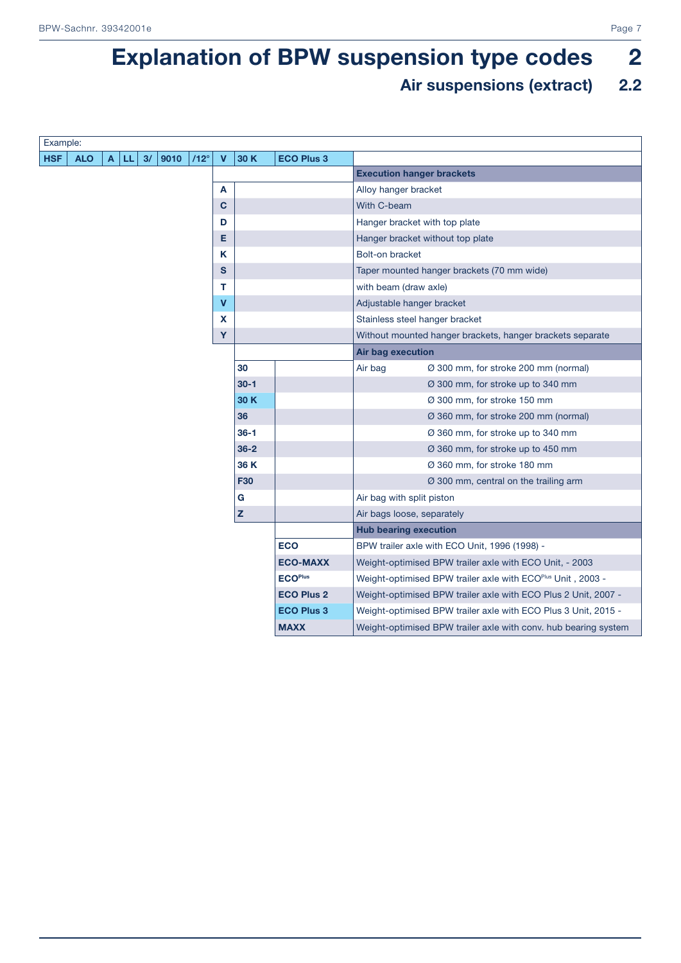### Air suspensions (extract) 2.2

| Example:   |            |              |      |    |      |             |              |              |                   |                                                                 |  |
|------------|------------|--------------|------|----|------|-------------|--------------|--------------|-------------------|-----------------------------------------------------------------|--|
| <b>HSF</b> | <b>ALO</b> | $\mathbf{A}$ | l LL | 3/ | 9010 | $112^\circ$ | $\mathbf{V}$ | 30 K         | <b>ECO Plus 3</b> |                                                                 |  |
|            |            |              |      |    |      |             |              |              |                   | <b>Execution hanger brackets</b>                                |  |
|            |            |              |      |    |      |             | A            |              |                   | Alloy hanger bracket                                            |  |
|            |            |              |      |    |      |             | C            |              |                   | With C-beam                                                     |  |
|            |            |              |      |    |      |             | D            |              |                   | Hanger bracket with top plate                                   |  |
|            |            |              |      |    |      |             | Е            |              |                   | Hanger bracket without top plate                                |  |
|            |            |              |      |    |      |             | Κ            |              |                   | Bolt-on bracket                                                 |  |
|            |            |              |      |    |      |             | S            |              |                   | Taper mounted hanger brackets (70 mm wide)                      |  |
|            |            |              |      |    |      |             | т            |              |                   | with beam (draw axle)                                           |  |
|            |            |              |      |    |      |             | $\mathbf v$  |              |                   | Adjustable hanger bracket                                       |  |
|            |            |              |      |    |      |             | X            |              |                   | Stainless steel hanger bracket                                  |  |
|            |            |              |      |    |      |             | Y            |              |                   | Without mounted hanger brackets, hanger brackets separate       |  |
|            |            |              |      |    |      |             |              |              |                   | Air bag execution                                               |  |
|            |            |              |      |    |      |             |              | 30           |                   | Air bag<br>Ø 300 mm, for stroke 200 mm (normal)                 |  |
|            |            |              |      |    |      |             |              | $30 - 1$     |                   | Ø 300 mm, for stroke up to 340 mm                               |  |
|            |            |              |      |    |      |             |              | 30 K         |                   | Ø 300 mm, for stroke 150 mm                                     |  |
|            |            |              |      |    |      |             |              | 36           |                   | Ø 360 mm, for stroke 200 mm (normal)                            |  |
|            |            |              |      |    |      |             |              | $36 - 1$     |                   | Ø 360 mm, for stroke up to 340 mm                               |  |
|            |            |              |      |    |      |             |              | $36 - 2$     |                   | Ø 360 mm, for stroke up to 450 mm                               |  |
|            |            |              |      |    |      |             |              | 36 K         |                   | Ø 360 mm, for stroke 180 mm                                     |  |
|            |            |              |      |    |      |             |              | <b>F30</b>   |                   | Ø 300 mm, central on the trailing arm                           |  |
|            |            |              |      |    |      |             |              | G            |                   | Air bag with split piston                                       |  |
|            |            |              |      |    |      |             |              | $\mathbf{z}$ |                   | Air bags loose, separately                                      |  |
|            |            |              |      |    |      |             |              |              |                   | <b>Hub bearing execution</b>                                    |  |
|            |            |              |      |    |      |             |              |              | <b>ECO</b>        | BPW trailer axle with ECO Unit, 1996 (1998) -                   |  |
|            |            |              |      |    |      |             |              |              | <b>ECO-MAXX</b>   | Weight-optimised BPW trailer axle with ECO Unit, - 2003         |  |
|            |            |              |      |    |      |             |              |              | <b>ECOPlus</b>    | Weight-optimised BPW trailer axle with ECOPlus Unit, 2003 -     |  |
|            |            |              |      |    |      |             |              |              | <b>ECO Plus 2</b> | Weight-optimised BPW trailer axle with ECO Plus 2 Unit, 2007 -  |  |
|            |            |              |      |    |      |             |              |              | <b>ECO Plus 3</b> | Weight-optimised BPW trailer axle with ECO Plus 3 Unit, 2015 -  |  |
|            |            |              |      |    |      |             |              |              | <b>MAXX</b>       | Weight-optimised BPW trailer axle with conv. hub bearing system |  |
|            |            |              |      |    |      |             |              |              |                   |                                                                 |  |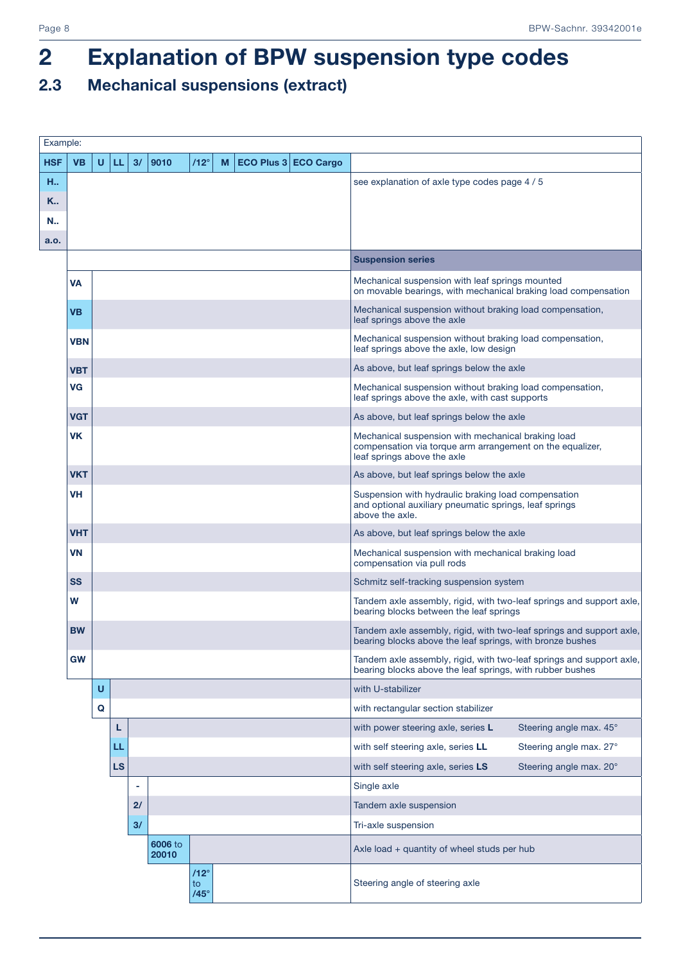### 2.3 Mechanical suspensions (extract)

| Example:   |            |   |           |    |                  |                                  |   |                      |                                                                                                                                                |
|------------|------------|---|-----------|----|------------------|----------------------------------|---|----------------------|------------------------------------------------------------------------------------------------------------------------------------------------|
| <b>HSF</b> | <b>VB</b>  | U | LL.       | 3/ | 9010             | $/12^\circ$                      | М | ECO Plus 3 ECO Cargo |                                                                                                                                                |
| H.,        |            |   |           |    |                  |                                  |   |                      | see explanation of axle type codes page 4 / 5                                                                                                  |
| K          |            |   |           |    |                  |                                  |   |                      |                                                                                                                                                |
| N.,        |            |   |           |    |                  |                                  |   |                      |                                                                                                                                                |
| a.o.       |            |   |           |    |                  |                                  |   |                      |                                                                                                                                                |
|            |            |   |           |    |                  |                                  |   |                      | <b>Suspension series</b>                                                                                                                       |
|            | VA         |   |           |    |                  |                                  |   |                      | Mechanical suspension with leaf springs mounted<br>on movable bearings, with mechanical braking load compensation                              |
|            | <b>VB</b>  |   |           |    |                  |                                  |   |                      | Mechanical suspension without braking load compensation,<br>leaf springs above the axle                                                        |
|            | <b>VBN</b> |   |           |    |                  |                                  |   |                      | Mechanical suspension without braking load compensation,<br>leaf springs above the axle, low design                                            |
|            | <b>VBT</b> |   |           |    |                  |                                  |   |                      | As above, but leaf springs below the axle                                                                                                      |
|            | VG         |   |           |    |                  |                                  |   |                      | Mechanical suspension without braking load compensation,<br>leaf springs above the axle, with cast supports                                    |
|            | <b>VGT</b> |   |           |    |                  |                                  |   |                      | As above, but leaf springs below the axle                                                                                                      |
|            | VK         |   |           |    |                  |                                  |   |                      | Mechanical suspension with mechanical braking load<br>compensation via torque arm arrangement on the equalizer,<br>leaf springs above the axle |
|            | <b>VKT</b> |   |           |    |                  |                                  |   |                      | As above, but leaf springs below the axle                                                                                                      |
|            | VH         |   |           |    |                  |                                  |   |                      | Suspension with hydraulic braking load compensation<br>and optional auxiliary pneumatic springs, leaf springs<br>above the axle.               |
|            | <b>VHT</b> |   |           |    |                  |                                  |   |                      | As above, but leaf springs below the axle                                                                                                      |
|            | <b>VN</b>  |   |           |    |                  |                                  |   |                      | Mechanical suspension with mechanical braking load<br>compensation via pull rods                                                               |
|            | <b>SS</b>  |   |           |    |                  |                                  |   |                      | Schmitz self-tracking suspension system                                                                                                        |
|            | W          |   |           |    |                  |                                  |   |                      | Tandem axle assembly, rigid, with two-leaf springs and support axle,<br>bearing blocks between the leaf springs                                |
|            | <b>BW</b>  |   |           |    |                  |                                  |   |                      | Tandem axle assembly, rigid, with two-leaf springs and support axle,<br>bearing blocks above the leaf springs, with bronze bushes              |
|            | <b>GW</b>  |   |           |    |                  |                                  |   |                      | Tandem axle assembly, rigid, with two-leaf springs and support axle,<br>bearing blocks above the leaf springs, with rubber bushes              |
|            |            | U |           |    |                  |                                  |   |                      | with U-stabilizer                                                                                                                              |
|            |            | Q |           |    |                  |                                  |   |                      | with rectangular section stabilizer                                                                                                            |
|            |            |   | L         |    |                  |                                  |   |                      | with power steering axle, series L<br>Steering angle max. 45°                                                                                  |
|            |            |   | LL.       |    |                  |                                  |   |                      | with self steering axle, series LL<br>Steering angle max. 27°                                                                                  |
|            |            |   | <b>LS</b> |    |                  |                                  |   |                      | with self steering axle, series LS<br>Steering angle max. 20°                                                                                  |
|            |            |   |           | ٠  |                  |                                  |   |                      | Single axle                                                                                                                                    |
|            |            |   |           | 2/ |                  |                                  |   |                      | Tandem axle suspension                                                                                                                         |
|            |            |   |           | 3/ |                  |                                  |   |                      | Tri-axle suspension                                                                                                                            |
|            |            |   |           |    | 6006 to<br>20010 |                                  |   |                      | Axle load + quantity of wheel studs per hub                                                                                                    |
|            |            |   |           |    |                  | $/12^\circ$<br>to<br>$/45^\circ$ |   |                      | Steering angle of steering axle                                                                                                                |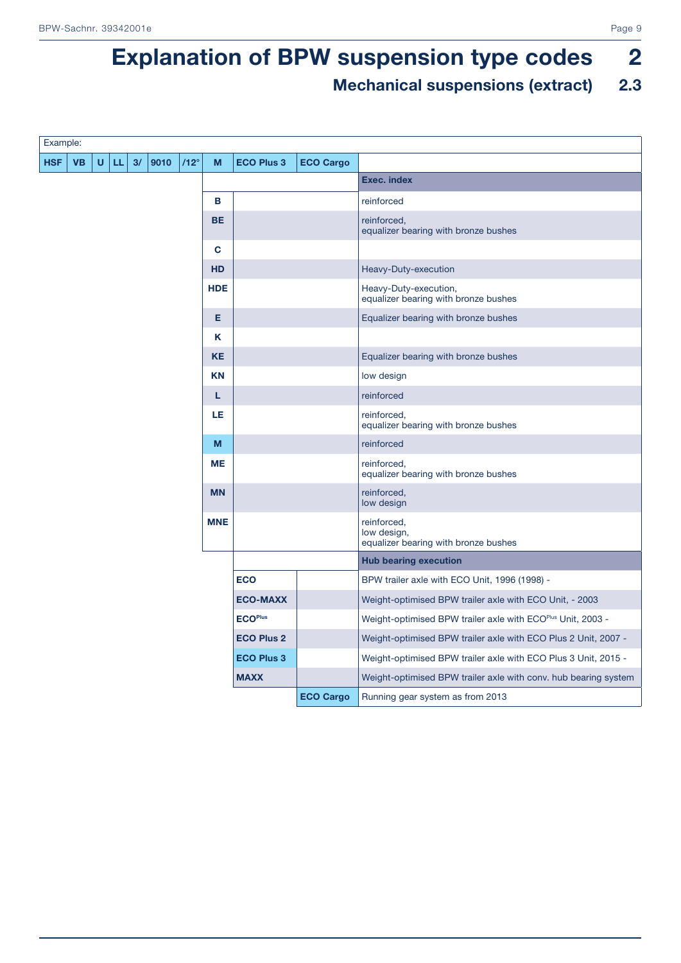### Mechanical suspensions (extract) 2.3

| Example:   |           |   |    |    |      |  |             |            |                   |                  |                                                                    |
|------------|-----------|---|----|----|------|--|-------------|------------|-------------------|------------------|--------------------------------------------------------------------|
| <b>HSF</b> | <b>VB</b> | U | LL | 3/ | 9010 |  | $/12^\circ$ | M          | <b>ECO Plus 3</b> | <b>ECO Cargo</b> |                                                                    |
|            |           |   |    |    |      |  |             |            |                   |                  | <b>Exec. index</b>                                                 |
|            |           |   |    |    |      |  |             | в          |                   |                  | reinforced                                                         |
|            |           |   |    |    |      |  |             | <b>BE</b>  |                   |                  | reinforced,<br>equalizer bearing with bronze bushes                |
|            |           |   |    |    |      |  |             | C          |                   |                  |                                                                    |
|            |           |   |    |    |      |  |             | <b>HD</b>  |                   |                  | Heavy-Duty-execution                                               |
|            |           |   |    |    |      |  |             | <b>HDE</b> |                   |                  | Heavy-Duty-execution,<br>equalizer bearing with bronze bushes      |
|            |           |   |    |    |      |  |             | E.         |                   |                  | Equalizer bearing with bronze bushes                               |
|            |           |   |    |    |      |  |             | K          |                   |                  |                                                                    |
|            |           |   |    |    |      |  |             | <b>KE</b>  |                   |                  | Equalizer bearing with bronze bushes                               |
|            |           |   |    |    |      |  |             | <b>KN</b>  |                   |                  | low design                                                         |
|            |           |   |    |    |      |  |             | L          |                   |                  | reinforced                                                         |
|            |           |   |    |    |      |  |             | LE         |                   |                  | reinforced.<br>equalizer bearing with bronze bushes                |
|            |           |   |    |    |      |  |             | M          |                   |                  | reinforced                                                         |
|            |           |   |    |    |      |  |             | <b>ME</b>  |                   |                  | reinforced,<br>equalizer bearing with bronze bushes                |
|            |           |   |    |    |      |  |             | <b>MN</b>  |                   |                  | reinforced,<br>low design                                          |
|            |           |   |    |    |      |  |             | <b>MNE</b> |                   |                  | reinforced,<br>low design,<br>equalizer bearing with bronze bushes |
|            |           |   |    |    |      |  |             |            |                   |                  | <b>Hub bearing execution</b>                                       |
|            |           |   |    |    |      |  |             |            | <b>ECO</b>        |                  | BPW trailer axle with ECO Unit, 1996 (1998) -                      |
|            |           |   |    |    |      |  |             |            | <b>ECO-MAXX</b>   |                  | Weight-optimised BPW trailer axle with ECO Unit, - 2003            |
|            |           |   |    |    |      |  |             |            | <b>ECOPlus</b>    |                  | Weight-optimised BPW trailer axle with ECOPlus Unit, 2003 -        |
|            |           |   |    |    |      |  |             |            | <b>ECO Plus 2</b> |                  | Weight-optimised BPW trailer axle with ECO Plus 2 Unit, 2007 -     |
|            |           |   |    |    |      |  |             |            | <b>ECO Plus 3</b> |                  | Weight-optimised BPW trailer axle with ECO Plus 3 Unit, 2015 -     |
|            |           |   |    |    |      |  |             |            | <b>MAXX</b>       |                  | Weight-optimised BPW trailer axle with conv. hub bearing system    |
|            |           |   |    |    |      |  |             |            |                   | <b>ECO Cargo</b> | Running gear system as from 2013                                   |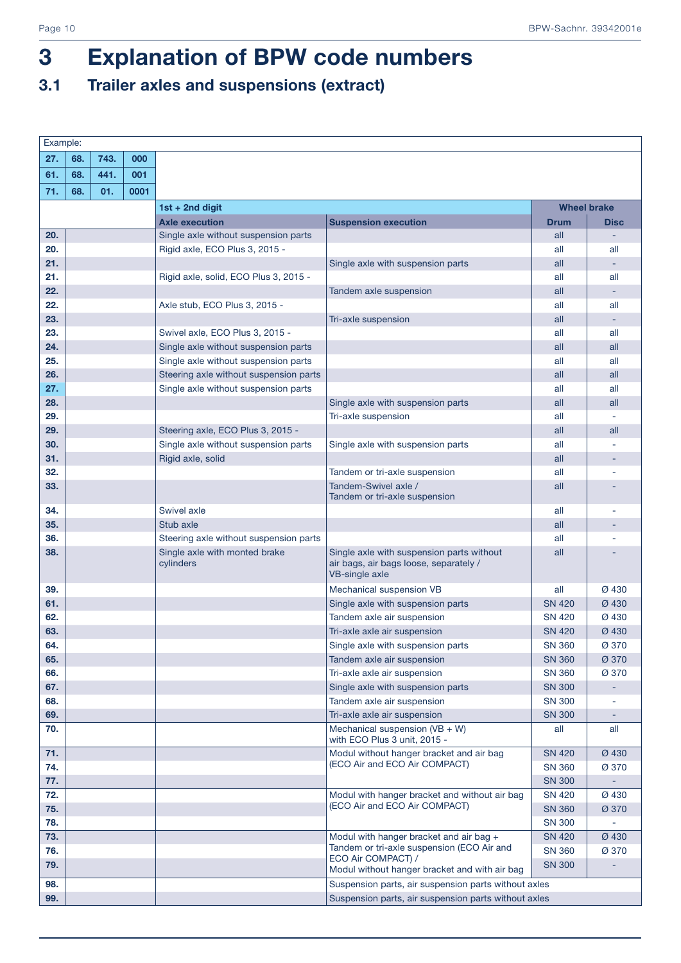### 3.1 Trailer axles and suspensions (extract)

| Example:   |     |      |      |                                            |                                                                                                       |                                |                          |
|------------|-----|------|------|--------------------------------------------|-------------------------------------------------------------------------------------------------------|--------------------------------|--------------------------|
| 27.        | 68. | 743. | 000  |                                            |                                                                                                       |                                |                          |
| 61.        | 68. | 441. | 001  |                                            |                                                                                                       |                                |                          |
| 71.        | 68. | 01.  | 0001 |                                            |                                                                                                       |                                |                          |
|            |     |      |      | 1st + 2nd digit                            |                                                                                                       | <b>Wheel brake</b>             |                          |
|            |     |      |      | <b>Axle execution</b>                      | <b>Suspension execution</b>                                                                           | <b>Drum</b>                    | <b>Disc</b>              |
| 20.        |     |      |      | Single axle without suspension parts       |                                                                                                       | all                            |                          |
| 20.        |     |      |      | Rigid axle, ECO Plus 3, 2015 -             |                                                                                                       | all                            | all                      |
| 21.        |     |      |      |                                            | Single axle with suspension parts                                                                     | all                            | ٠                        |
| 21.        |     |      |      | Rigid axle, solid, ECO Plus 3, 2015 -      |                                                                                                       | all                            | all                      |
| 22.        |     |      |      |                                            | Tandem axle suspension                                                                                | all                            | ٠                        |
| 22.        |     |      |      | Axle stub, ECO Plus 3, 2015 -              |                                                                                                       | all                            | all                      |
| 23.        |     |      |      |                                            | Tri-axle suspension                                                                                   | all                            | $\overline{\phantom{a}}$ |
| 23.        |     |      |      | Swivel axle, ECO Plus 3, 2015 -            |                                                                                                       | all                            | all                      |
| 24.        |     |      |      | Single axle without suspension parts       |                                                                                                       | all                            | all                      |
| 25.        |     |      |      | Single axle without suspension parts       |                                                                                                       | all                            | all                      |
| 26.        |     |      |      | Steering axle without suspension parts     |                                                                                                       | all                            | all                      |
| 27.        |     |      |      | Single axle without suspension parts       |                                                                                                       | all                            | all                      |
| 28.        |     |      |      |                                            | Single axle with suspension parts                                                                     | all                            | all                      |
| 29.        |     |      |      |                                            | Tri-axle suspension                                                                                   | all                            |                          |
| 29.        |     |      |      | Steering axle, ECO Plus 3, 2015 -          |                                                                                                       | all                            | all                      |
| 30.        |     |      |      | Single axle without suspension parts       | Single axle with suspension parts                                                                     | all                            |                          |
| 31.        |     |      |      | Rigid axle, solid                          |                                                                                                       | all                            |                          |
| 32.        |     |      |      |                                            | Tandem or tri-axle suspension                                                                         | all                            |                          |
| 33.        |     |      |      |                                            | Tandem-Swivel axle /<br>Tandem or tri-axle suspension                                                 | all                            |                          |
| 34.        |     |      |      | <b>Swivel axle</b>                         |                                                                                                       | all                            |                          |
| 35.        |     |      |      | Stub axle                                  |                                                                                                       | all                            |                          |
| 36.        |     |      |      | Steering axle without suspension parts     |                                                                                                       | all                            |                          |
| 38.        |     |      |      | Single axle with monted brake<br>cylinders | Single axle with suspension parts without<br>air bags, air bags loose, separately /<br>VB-single axle | all                            |                          |
| 39.        |     |      |      |                                            | Mechanical suspension VB                                                                              | all                            | Ø 430                    |
| 61.        |     |      |      |                                            | Single axle with suspension parts                                                                     | <b>SN 420</b>                  | Ø 430                    |
| 62.        |     |      |      |                                            | Tandem axle air suspension                                                                            | <b>SN 420</b>                  | Ø 430                    |
| 63.        |     |      |      |                                            | Tri-axle axle air suspension                                                                          | <b>SN 420</b>                  | Ø 430                    |
| 64.        |     |      |      |                                            | Single axle with suspension parts                                                                     | <b>SN 360</b>                  | Ø 370                    |
| 65.        |     |      |      |                                            | Tandem axle air suspension                                                                            | <b>SN 360</b>                  | Ø 370                    |
| 66.        |     |      |      |                                            | Tri-axle axle air suspension                                                                          | <b>SN 360</b>                  | Ø 370                    |
| 67.        |     |      |      |                                            | Single axle with suspension parts                                                                     | <b>SN 300</b>                  |                          |
| 68.        |     |      |      |                                            | Tandem axle air suspension                                                                            | <b>SN 300</b>                  |                          |
| 69.        |     |      |      |                                            | Tri-axle axle air suspension                                                                          | <b>SN 300</b>                  |                          |
| 70.        |     |      |      |                                            | Mechanical suspension $(VB + W)$<br>with ECO Plus 3 unit, 2015 -                                      | all                            | all                      |
| 71.        |     |      |      |                                            | Modul without hanger bracket and air bag<br>(ECO Air and ECO Air COMPACT)                             | <b>SN 420</b>                  | Ø 430                    |
| 74.        |     |      |      |                                            |                                                                                                       | <b>SN 360</b>                  | Ø 370                    |
| 77.        |     |      |      |                                            |                                                                                                       | <b>SN 300</b>                  | $\equiv$                 |
| 72.        |     |      |      |                                            | Modul with hanger bracket and without air bag<br>(ECO Air and ECO Air COMPACT)                        | <b>SN 420</b>                  | Ø 430                    |
| 75.        |     |      |      |                                            |                                                                                                       | <b>SN 360</b>                  | Ø 370                    |
| 78.        |     |      |      |                                            |                                                                                                       | <b>SN 300</b>                  |                          |
| 73.<br>76. |     |      |      |                                            | Modul with hanger bracket and air bag +<br>Tandem or tri-axle suspension (ECO Air and                 | <b>SN 420</b>                  | Ø 430                    |
| 79.        |     |      |      |                                            | ECO Air COMPACT) /<br>Modul without hanger bracket and with air bag                                   | <b>SN 360</b><br><b>SN 300</b> | Ø 370                    |
| 98.        |     |      |      |                                            | Suspension parts, air suspension parts without axles                                                  |                                |                          |
| 99.        |     |      |      |                                            | Suspension parts, air suspension parts without axles                                                  |                                |                          |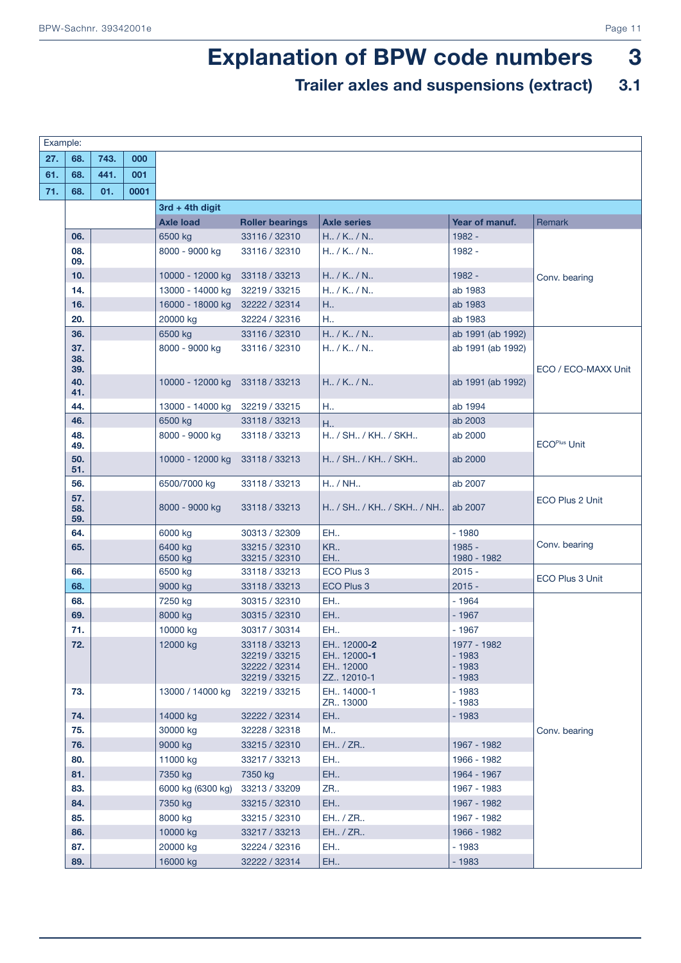### Trailer axles and suspensions (extract) 3.1

| Example: |            |      |      |                    |                                |                                  |                    |                     |
|----------|------------|------|------|--------------------|--------------------------------|----------------------------------|--------------------|---------------------|
| 27.      | 68.        | 743. | 000  |                    |                                |                                  |                    |                     |
| 61.      | 68.        | 441. | 001  |                    |                                |                                  |                    |                     |
| 71.      | 68.        | 01.  | 0001 |                    |                                |                                  |                    |                     |
|          |            |      |      | $3rd + 4th$ digit  |                                |                                  |                    |                     |
|          |            |      |      | <b>Axle load</b>   | <b>Roller bearings</b>         | <b>Axle series</b>               | Year of manuf.     | Remark              |
|          | 06.        |      |      | 6500 kg            | 33116 / 32310                  | $H_{1.}/K_{1.}/N_{1.}$           | 1982 -             |                     |
|          | 08.        |      |      | 8000 - 9000 kg     | 33116 / 32310                  | $H_{1.7}$ / K., / N.,            | 1982 -             |                     |
|          | 09.        |      |      |                    |                                |                                  |                    |                     |
|          | 10.        |      |      | 10000 - 12000 kg   | 33118 / 33213                  | H. / K. / N.                     | 1982 -             | Conv. bearing       |
|          | 14.        |      |      | 13000 - 14000 kg   | 32219 / 33215                  | $H_{1.7}$ / K., / N.,            | ab 1983            |                     |
|          | 16.        |      |      | 16000 - 18000 kg   | 32222 / 32314                  | H.,                              | ab 1983            |                     |
|          | 20.        |      |      | 20000 kg           | 32224 / 32316                  | H.,                              | ab 1983            |                     |
|          | 36.        |      |      | 6500 kg            | 33116 / 32310                  | $H_{1.}$ / K., / N.,             | ab 1991 (ab 1992)  |                     |
|          | 37.        |      |      | 8000 - 9000 kg     | 33116 / 32310                  | $H_{1.7}$ / K., / N.,            | ab 1991 (ab 1992)  |                     |
|          | 38.<br>39. |      |      |                    |                                |                                  |                    | ECO / ECO-MAXX Unit |
|          | 40.        |      |      | 10000 - 12000 kg   | 33118 / 33213                  | $H_{1.}/K_{1.}/N_{1.}$           | ab 1991 (ab 1992)  |                     |
|          | 41.        |      |      |                    |                                |                                  |                    |                     |
|          | 44.        |      |      | 13000 - 14000 kg   | 32219 / 33215                  | H.,                              | ab 1994            |                     |
|          | 46.        |      |      | 6500 kg            | 33118 / 33213                  | H.,                              | ab 2003            |                     |
|          | 48.<br>49. |      |      | 8000 - 9000 kg     | 33118 / 33213                  | H., / SH., / KH., / SKH.,        | ab 2000            | <b>ECOPlus Unit</b> |
|          | 50.        |      |      | 10000 - 12000 kg   | 33118 / 33213                  | H., / SH., / KH., / SKH.,        | ab 2000            |                     |
|          | 51.        |      |      |                    |                                |                                  |                    |                     |
|          | 56.        |      |      | 6500/7000 kg       | 33118 / 33213                  | $H1$ / NH.                       | ab 2007            |                     |
|          | 57.<br>58. |      |      | 8000 - 9000 kg     | 33118 / 33213                  | H., / SH., / KH., / SKH., / NH., | ab 2007            | ECO Plus 2 Unit     |
|          | 59.<br>64. |      |      |                    | 30313 / 32309                  | <b>EH</b>                        | $-1980$            |                     |
|          | 65.        |      |      | 6000 kg<br>6400 kg | 33215 / 32310                  | <b>KR</b>                        | $1985 -$           | Conv. bearing       |
|          |            |      |      | 6500 kg            | 33215 / 32310                  | EH.                              | 1980 - 1982        |                     |
|          | 66.        |      |      | 6500 kg            | 33118 / 33213                  | ECO Plus 3                       | $2015 -$           | ECO Plus 3 Unit     |
|          | 68.        |      |      | 9000 kg            | 33118 / 33213                  | ECO Plus 3                       | $2015 -$           |                     |
|          | 68.        |      |      | 7250 kg            | 30315 / 32310                  | <b>EH</b>                        | $-1964$            |                     |
|          | 69.        |      |      | 8000 kg            | 30315 / 32310                  | EH.                              | $-1967$            |                     |
|          | 71.        |      |      | 10000 kg           | 30317 / 30314                  | <b>EH</b>                        | $-1967$            |                     |
|          | 72.        |      |      | 12000 kg           | 33118 / 33213                  | EH., 12000-2                     | 1977 - 1982        |                     |
|          |            |      |      |                    | 32219 / 33215<br>32222 / 32314 | EH., 12000-1<br>EH., 12000       | $-1983$<br>$-1983$ |                     |
|          |            |      |      |                    | 32219 / 33215                  | ZZ., 12010-1                     | $-1983$            |                     |
|          | 73.        |      |      | 13000 / 14000 kg   | 32219 / 33215                  | EH., 14000-1<br>ZR., 13000       | $-1983$<br>$-1983$ |                     |
|          | 74.        |      |      | 14000 kg           | 32222 / 32314                  | EH                               | $-1983$            |                     |
|          | 75.        |      |      | 30000 kg           | 32228 / 32318                  | M                                |                    | Conv. bearing       |
|          | 76.        |      |      | 9000 kg            | 33215 / 32310                  | EH / ZR                          | 1967 - 1982        |                     |
|          | 80.        |      |      | 11000 kg           | 33217 / 33213                  | EH.                              | 1966 - 1982        |                     |
|          | 81.        |      |      | 7350 kg            | 7350 kg                        | <b>EH</b>                        | 1964 - 1967        |                     |
|          | 83.        |      |      | 6000 kg (6300 kg)  | 33213 / 33209                  | <b>ZR</b>                        | 1967 - 1983        |                     |
|          | 84.        |      |      | 7350 kg            | 33215 / 32310                  | <b>EH</b>                        | 1967 - 1982        |                     |
|          | 85.        |      |      | 8000 kg            | 33215 / 32310                  | EH / ZR                          | 1967 - 1982        |                     |
|          | 86.        |      |      | 10000 kg           | 33217 / 33213                  | EH / ZR                          | 1966 - 1982        |                     |
|          | 87.        |      |      | 20000 kg           | 32224 / 32316                  | EH.,                             | $-1983$            |                     |
|          | 89.        |      |      | 16000 kg           | 32222 / 32314                  | EH                               | $-1983$            |                     |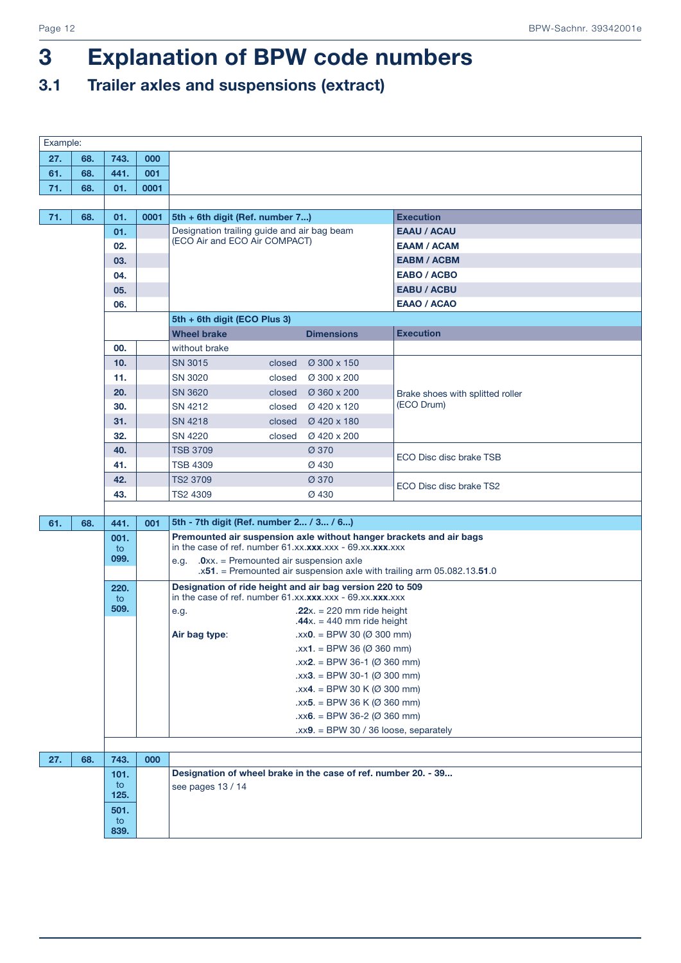### 3.1 Trailer axles and suspensions (extract)

| Example: |     |            |      |                                              |        |                                                                          |                                                                           |
|----------|-----|------------|------|----------------------------------------------|--------|--------------------------------------------------------------------------|---------------------------------------------------------------------------|
| 27.      | 68. | 743.       | 000  |                                              |        |                                                                          |                                                                           |
| 61.      | 68. | 441.       | 001  |                                              |        |                                                                          |                                                                           |
| 71.      | 68. | 01.        | 0001 |                                              |        |                                                                          |                                                                           |
|          |     |            |      |                                              |        |                                                                          |                                                                           |
| 71.      | 68. | 01.        | 0001 | 5th + 6th digit (Ref. number 7)              |        |                                                                          | <b>Execution</b>                                                          |
|          |     | 01.        |      | Designation trailing guide and air bag beam  |        |                                                                          | <b>EAAU / ACAU</b>                                                        |
|          |     | 02.        |      | (ECO Air and ECO Air COMPACT)                |        |                                                                          | <b>EAAM / ACAM</b>                                                        |
|          |     | 03.        |      |                                              |        |                                                                          | <b>EABM / ACBM</b>                                                        |
|          |     | 04.        |      |                                              |        |                                                                          | <b>EABO / ACBO</b>                                                        |
|          |     | 05.        |      |                                              |        |                                                                          | <b>EABU / ACBU</b>                                                        |
|          |     | 06.        |      |                                              |        |                                                                          | <b>EAAO / ACAO</b>                                                        |
|          |     |            |      | 5th + 6th digit (ECO Plus 3)                 |        |                                                                          |                                                                           |
|          |     |            |      | <b>Wheel brake</b>                           |        | <b>Dimensions</b>                                                        | <b>Execution</b>                                                          |
|          |     | 00.        |      | without brake                                |        |                                                                          |                                                                           |
|          |     | 10.        |      | <b>SN 3015</b>                               | closed | Ø 300 x 150                                                              |                                                                           |
|          |     | 11.        |      | SN 3020                                      | closed | Ø 300 x 200                                                              |                                                                           |
|          |     | 20.        |      | <b>SN 3620</b>                               | closed | Ø 360 x 200                                                              | Brake shoes with splitted roller                                          |
|          |     | 30.        |      | SN 4212                                      | closed | Ø 420 x 120                                                              | (ECO Drum)                                                                |
|          |     | 31.        |      | SN 4218                                      | closed | Ø 420 x 180                                                              |                                                                           |
|          |     | 32.        |      | <b>SN 4220</b>                               | closed | Ø 420 x 200                                                              |                                                                           |
|          |     | 40.        |      | <b>TSB 3709</b>                              |        | Ø 370                                                                    | ECO Disc disc brake TSB                                                   |
|          |     | 41.        |      | <b>TSB 4309</b>                              |        | Ø 430                                                                    |                                                                           |
|          |     | 42.        |      | TS2 3709                                     |        | Ø 370                                                                    | ECO Disc disc brake TS2                                                   |
|          |     | 43.        |      | TS2 4309                                     |        | Ø 430                                                                    |                                                                           |
|          |     |            |      |                                              |        |                                                                          |                                                                           |
| 61.      | 68. | 441.       | 001  | 5th - 7th digit (Ref. number 2 / 3 / 6)      |        |                                                                          |                                                                           |
|          |     | 001.       |      |                                              |        | in the case of ref. number $61$ .xx. $xxxx$ .xxx - $69$ .xx. $xxxx$ .xxx | Premounted air suspension axle without hanger brackets and air bags       |
|          |     | to<br>099. |      | e.g. $.0xx =$ Premounted air suspension axle |        |                                                                          |                                                                           |
|          |     |            |      |                                              |        |                                                                          | $.x51.$ = Premounted air suspension axle with trailing arm 05.082.13.51.0 |
|          |     | 220.       |      |                                              |        | Designation of ride height and air bag version 220 to 509                |                                                                           |
|          |     | to         |      |                                              |        | in the case of ref. number $61.xx.xxx.xxx - 69.xx.xxx.xxx$               |                                                                           |
|          |     | 509.       |      | e.g.                                         |        | .22 $x = 220$ mm ride height<br>$.44x. = 440$ mm ride height             |                                                                           |
|          |     |            |      | Air bag type:                                |        | $\text{.xx0.} = \text{BPW} 30 \ (\emptyset 300 \text{ mm})$              |                                                                           |
|          |     |            |      |                                              |        | $.xx1. = BPW 36 (0.360 mm)$                                              |                                                                           |
|          |     |            |      |                                              |        | $\text{.xx2.} = \text{BPW} 36-1 \text{ (} \varnothing 360 \text{ mm)}$   |                                                                           |
|          |     |            |      |                                              |        | $\text{.xx3.} = \text{BPW } 30 - 1 \text{ (0 300 mm)}$                   |                                                                           |
|          |     |            |      |                                              |        | $.xx4. = BPW 30 K (0 300 mm)$                                            |                                                                           |
|          |     |            |      |                                              |        | $\text{.xx5.} = \text{BPW } 36 \text{ K } (0.360 \text{ mm})$            |                                                                           |
|          |     |            |      |                                              |        | $\text{.} \times \times 6$ . = BPW 36-2 ( $\varnothing$ 360 mm)          |                                                                           |
|          |     |            |      |                                              |        | $\text{.xx9.} = \text{BPW} 30 / 36$ loose, separately                    |                                                                           |
|          |     |            |      |                                              |        |                                                                          |                                                                           |
| 27.      | 68. | 743.       | 000  |                                              |        |                                                                          |                                                                           |
|          |     | 101.       |      |                                              |        | Designation of wheel brake in the case of ref. number 20. - 39           |                                                                           |
|          |     | to<br>125. |      | see pages 13 / 14                            |        |                                                                          |                                                                           |
|          |     | 501.       |      |                                              |        |                                                                          |                                                                           |
|          |     | to         |      |                                              |        |                                                                          |                                                                           |
|          |     | 839.       |      |                                              |        |                                                                          |                                                                           |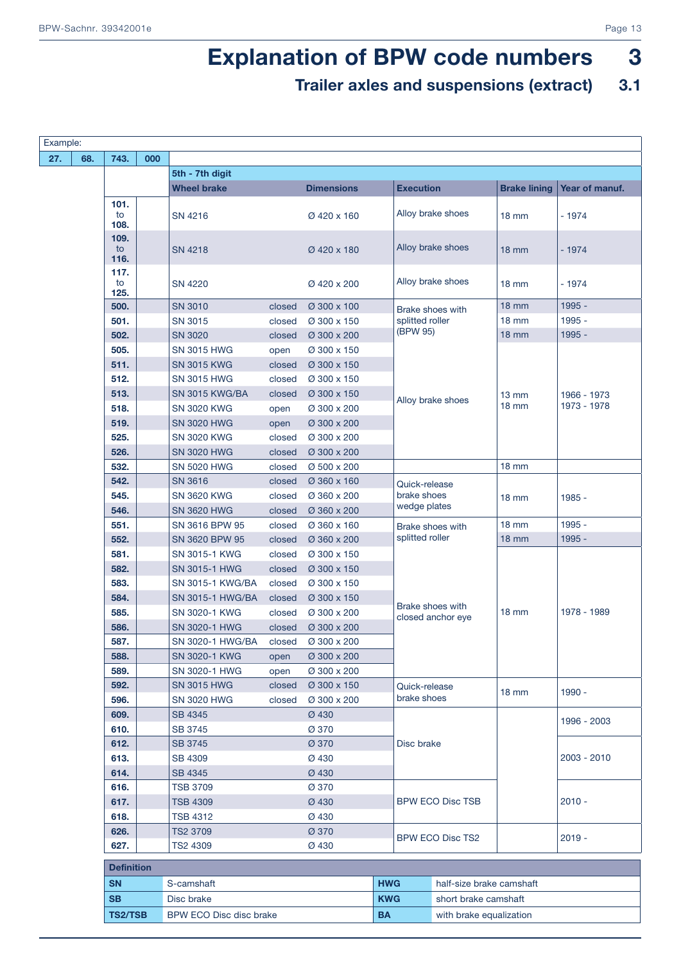### Trailer axles and suspensions (extract) 3.1

| Example: |     |                    |     |                                          |        |                      |                  |                                     |                     |                |
|----------|-----|--------------------|-----|------------------------------------------|--------|----------------------|------------------|-------------------------------------|---------------------|----------------|
| 27.      | 68. | 743.               | 000 |                                          |        |                      |                  |                                     |                     |                |
|          |     |                    |     | 5th - 7th digit                          |        |                      |                  |                                     |                     |                |
|          |     |                    |     | <b>Wheel brake</b>                       |        | <b>Dimensions</b>    | <b>Execution</b> |                                     | <b>Brake lining</b> | Year of manuf. |
|          |     | 101.<br>to<br>108. |     | SN 4216                                  |        | Ø 420 x 160          |                  | Alloy brake shoes                   | $18 \text{ mm}$     | $-1974$        |
|          |     | 109.<br>to<br>116. |     | SN 4218                                  |        | Ø 420 x 180          |                  | Alloy brake shoes                   | $18 \text{ mm}$     | $-1974$        |
|          |     | 117.<br>to<br>125. |     | <b>SN 4220</b>                           |        | Ø 420 x 200          |                  | Alloy brake shoes                   | $18 \text{ mm}$     | $-1974$        |
|          |     | 500.               |     | <b>SN 3010</b>                           | closed | Ø 300 x 100          |                  | Brake shoes with                    | $18 \, \text{mm}$   | 1995 -         |
|          |     | 501.               |     | <b>SN 3015</b>                           | closed | Ø 300 x 150          |                  | splitted roller                     | <b>18 mm</b>        | 1995 -         |
|          |     | 502.               |     | <b>SN 3020</b>                           | closed | Ø 300 x 200          | (BPW 95)         |                                     | $18 \, \text{mm}$   | 1995 -         |
|          |     | 505.               |     | <b>SN 3015 HWG</b>                       | open   | Ø 300 x 150          |                  |                                     |                     |                |
|          |     | 511.               |     | <b>SN 3015 KWG</b>                       | closed | Ø 300 x 150          |                  |                                     |                     |                |
|          |     | 512.               |     | <b>SN 3015 HWG</b>                       | closed | Ø 300 x 150          |                  |                                     |                     |                |
|          |     | 513.               |     | <b>SN 3015 KWG/BA</b>                    | closed | Ø 300 x 150          |                  | Alloy brake shoes                   | $13 \, \text{mm}$   | 1966 - 1973    |
|          |     | 518.               |     | <b>SN 3020 KWG</b>                       | open   | Ø 300 x 200          |                  |                                     | $18 \text{ mm}$     | 1973 - 1978    |
|          |     | 519.               |     | <b>SN 3020 HWG</b>                       | open   | Ø 300 x 200          |                  |                                     |                     |                |
|          |     | 525.               |     | <b>SN 3020 KWG</b>                       | closed | Ø 300 x 200          |                  |                                     |                     |                |
|          |     | 526.               |     | <b>SN 3020 HWG</b>                       | closed | Ø 300 x 200          |                  |                                     |                     |                |
|          |     | 532.               |     | <b>SN 5020 HWG</b>                       | closed | Ø 500 x 200          |                  |                                     | <b>18 mm</b>        |                |
|          |     | 542.               |     | <b>SN 3616</b>                           | closed | Ø 360 x 160          |                  | Quick-release                       |                     |                |
|          |     | 545.               |     | <b>SN 3620 KWG</b>                       | closed | Ø 360 x 200          |                  | brake shoes<br>wedge plates         | $18 \text{ mm}$     | 1985 -         |
|          |     | 546.               |     | <b>SN 3620 HWG</b>                       | closed | Ø 360 x 200          |                  |                                     |                     |                |
|          |     | 551.               |     | SN 3616 BPW 95                           | closed | Ø 360 x 160          |                  | Brake shoes with<br>splitted roller | $18 \text{ mm}$     | 1995 -         |
|          |     | 552.               |     | SN 3620 BPW 95                           | closed | Ø 360 x 200          |                  |                                     | $18$ mm             | 1995 -         |
|          |     | 581.               |     | SN 3015-1 KWG                            | closed | Ø 300 x 150          |                  |                                     |                     |                |
|          |     | 582.               |     | <b>SN 3015-1 HWG</b>                     | closed | Ø 300 x 150          |                  |                                     |                     |                |
|          |     | 583.               |     | <b>SN 3015-1 KWG/BA</b>                  | closed | Ø 300 x 150          |                  |                                     |                     |                |
|          |     | 584.               |     | <b>SN 3015-1 HWG/BA</b>                  | closed | Ø 300 x 150          |                  | Brake shoes with                    |                     |                |
|          |     | 585.               |     | SN 3020-1 KWG                            | closed | Ø 300 x 200          |                  | closed anchor eye                   | $18 \text{ mm}$     | 1978 - 1989    |
|          |     | 586.               |     | <b>SN 3020-1 HWG</b>                     | closed | Ø 300 x 200          |                  |                                     |                     |                |
|          |     | 587.               |     | <b>SN 3020-1 HWG/BA</b>                  | closed | Ø 300 x 200          |                  |                                     |                     |                |
|          |     | 588.               |     | SN 3020-1 KWG                            | open   | Ø 300 x 200          |                  |                                     |                     |                |
|          |     | 589.               |     | SN 3020-1 HWG                            | open   | Ø 300 x 200          |                  |                                     |                     |                |
|          |     | 592.<br>596.       |     | <b>SN 3015 HWG</b><br><b>SN 3020 HWG</b> | closed | Ø 300 x 150          |                  | Quick-release<br>brake shoes        | $18 \text{ mm}$     | 1990 -         |
|          |     | 609.               |     | <b>SB 4345</b>                           | closed | Ø 300 x 200<br>Ø 430 |                  |                                     |                     |                |
|          |     | 610.               |     | SB 3745                                  |        | Ø 370                |                  |                                     |                     | 1996 - 2003    |
|          |     | 612.               |     | <b>SB 3745</b>                           |        | Ø 370                | Disc brake       |                                     |                     |                |
|          |     | 613.               |     | SB 4309                                  |        | Ø 430                |                  |                                     |                     | 2003 - 2010    |
|          |     | 614.               |     | <b>SB 4345</b>                           |        | Ø 430                |                  |                                     |                     |                |
|          |     | 616.               |     | <b>TSB 3709</b>                          |        | Ø 370                |                  |                                     |                     |                |
|          |     | 617.               |     | <b>TSB 4309</b>                          |        | Ø 430                |                  | <b>BPW ECO Disc TSB</b>             |                     | $2010 -$       |
|          |     | 618.               |     | <b>TSB 4312</b>                          |        | Ø 430                |                  |                                     |                     |                |
|          |     | 626.               |     | <b>TS2 3709</b>                          |        | Ø 370                |                  |                                     |                     |                |
|          |     | 627.               |     | TS2 4309                                 |        | Ø 430                |                  | <b>BPW ECO Disc TS2</b>             |                     | $2019 -$       |
|          |     |                    |     |                                          |        |                      |                  |                                     |                     |                |
|          |     | <b>Definition</b>  |     |                                          |        |                      |                  |                                     |                     |                |
|          |     | <b>SN</b>          |     | S-camshaft                               |        |                      | <b>HWG</b>       | half-size brake camshaft            |                     |                |
|          |     | <b>SB</b>          |     | Disc brake                               |        |                      | <b>KWG</b>       | short brake camshaft                |                     |                |
|          |     | <b>TS2/TSB</b>     |     | BPW ECO Disc disc brake                  |        |                      | <b>BA</b>        | with brake equalization             |                     |                |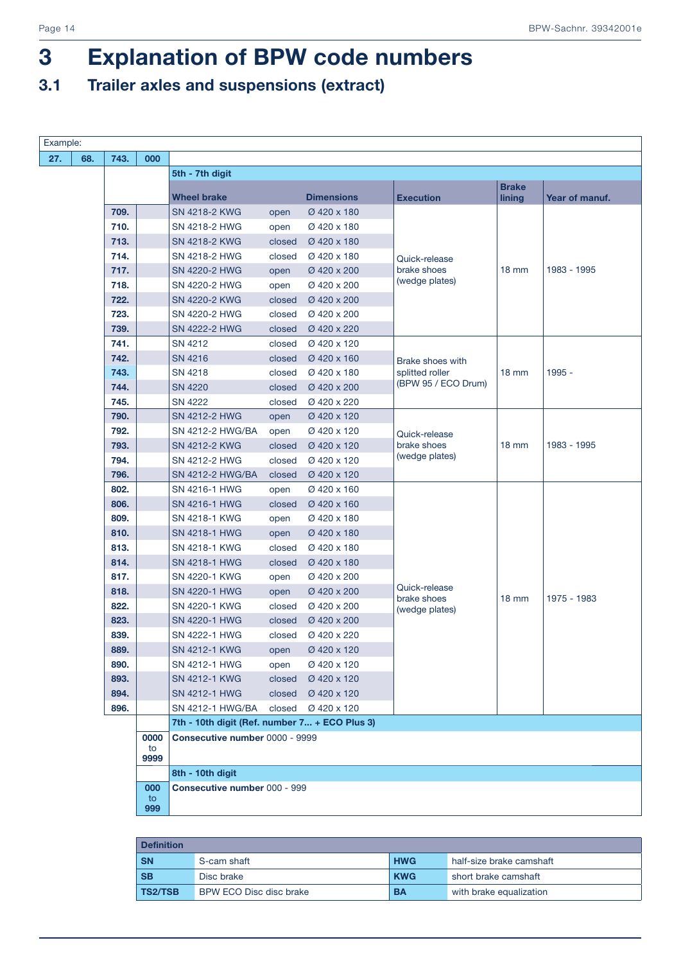### 3.1 Trailer axles and suspensions (extract)

| Example: |      |            |                                               |        |                   |                              |                        |                |  |
|----------|------|------------|-----------------------------------------------|--------|-------------------|------------------------------|------------------------|----------------|--|
| 68.      | 743. | 000        |                                               |        |                   |                              |                        |                |  |
|          |      |            | 5th - 7th digit                               |        |                   |                              |                        |                |  |
|          |      |            | <b>Wheel brake</b>                            |        | <b>Dimensions</b> | <b>Execution</b>             | <b>Brake</b><br>lining | Year of manuf. |  |
|          | 709. |            | SN 4218-2 KWG                                 | open   | Ø 420 x 180       |                              |                        |                |  |
|          | 710. |            | SN 4218-2 HWG                                 | open   | Ø 420 x 180       |                              |                        |                |  |
|          | 713. |            | SN 4218-2 KWG                                 | closed | Ø 420 x 180       |                              |                        |                |  |
|          | 714. |            | SN 4218-2 HWG                                 | closed | Ø 420 x 180       | Quick-release                |                        |                |  |
|          | 717. |            | <b>SN 4220-2 HWG</b>                          | open   | Ø 420 x 200       | brake shoes                  | $18 \text{ mm}$        | 1983 - 1995    |  |
|          | 718. |            | SN 4220-2 HWG                                 | open   | Ø 420 x 200       | (wedge plates)               |                        |                |  |
|          | 722. |            | SN 4220-2 KWG                                 | closed | Ø 420 x 200       |                              |                        |                |  |
|          | 723. |            | SN 4220-2 HWG                                 | closed | Ø 420 x 200       |                              |                        |                |  |
|          | 739. |            | <b>SN 4222-2 HWG</b>                          | closed | Ø 420 x 220       |                              |                        |                |  |
|          | 741. |            | SN 4212                                       | closed | Ø 420 x 120       |                              |                        |                |  |
|          | 742. |            | <b>SN 4216</b>                                | closed | Ø 420 x 160       | <b>Brake shoes with</b>      |                        |                |  |
|          | 743. |            | <b>SN 4218</b>                                | closed | Ø 420 x 180       | splitted roller              | $18 \text{ mm}$        | $1995 -$       |  |
|          | 744. |            | <b>SN 4220</b>                                | closed | Ø 420 x 200       | (BPW 95 / ECO Drum)          |                        |                |  |
|          | 745. |            | <b>SN 4222</b>                                | closed | Ø 420 x 220       |                              |                        |                |  |
|          | 790. |            | <b>SN 4212-2 HWG</b>                          | open   | Ø 420 x 120       |                              |                        |                |  |
|          | 792. |            | SN 4212-2 HWG/BA                              | open   | Ø 420 x 120       | Quick-release                |                        |                |  |
|          | 793. |            | SN 4212-2 KWG                                 | closed | Ø 420 x 120       | brake shoes                  | $18 \text{ mm}$        | 1983 - 1995    |  |
|          | 794. |            | SN 4212-2 HWG                                 | closed | Ø 420 x 120       | (wedge plates)               |                        |                |  |
|          | 796. |            | SN 4212-2 HWG/BA                              | closed | Ø 420 x 120       |                              |                        |                |  |
|          | 802. |            | SN 4216-1 HWG                                 | open   | Ø 420 x 160       |                              |                        |                |  |
|          | 806. |            | <b>SN 4216-1 HWG</b>                          | closed | Ø 420 x 160       |                              |                        |                |  |
|          | 809. |            | SN 4218-1 KWG                                 | open   | Ø 420 x 180       |                              |                        |                |  |
|          | 810. |            | SN 4218-1 HWG                                 | open   | Ø 420 x 180       |                              |                        |                |  |
|          | 813. |            | SN 4218-1 KWG                                 | closed | Ø 420 x 180       |                              |                        |                |  |
|          | 814. |            | <b>SN 4218-1 HWG</b>                          | closed | Ø 420 x 180       |                              |                        |                |  |
|          | 817. |            | SN 4220-1 KWG                                 | open   | Ø 420 x 200       |                              |                        |                |  |
|          | 818. |            | <b>SN 4220-1 HWG</b>                          | open   | Ø 420 x 200       | Quick-release<br>brake shoes | $18 \text{ mm}$        | 1975 - 1983    |  |
|          | 822. |            | <b>SN 4220-1 KWG</b>                          | closed | Ø 420 x 200       | (wedge plates)               |                        |                |  |
|          | 823. |            | <b>SN 4220-1 HWG</b>                          | closed | Ø 420 x 200       |                              |                        |                |  |
|          | 839. |            | <b>SN 4222-1 HWG</b>                          | closed | Ø 420 x 220       |                              |                        |                |  |
|          | 889. |            | SN 4212-1 KWG                                 | open   | Ø 420 x 120       |                              |                        |                |  |
|          | 890. |            | SN 4212-1 HWG                                 | open   | Ø 420 x 120       |                              |                        |                |  |
|          | 893. |            | SN 4212-1 KWG                                 | closed | Ø 420 x 120       |                              |                        |                |  |
|          | 894. |            | SN 4212-1 HWG                                 | closed | Ø 420 x 120       |                              |                        |                |  |
|          | 896. |            | SN 4212-1 HWG/BA                              | closed | Ø 420 x 120       |                              |                        |                |  |
|          |      |            | 7th - 10th digit (Ref. number 7 + ECO Plus 3) |        |                   |                              |                        |                |  |
|          |      | 0000<br>to | Consecutive number 0000 - 9999                |        |                   |                              |                        |                |  |
|          |      | 9999       |                                               |        |                   |                              |                        |                |  |
|          |      |            | 8th - 10th digit                              |        |                   |                              |                        |                |  |
|          |      | 000<br>to  | Consecutive number 000 - 999                  |        |                   |                              |                        |                |  |
|          |      | 999        |                                               |        |                   |                              |                        |                |  |
|          |      |            |                                               |        |                   |                              |                        |                |  |

| <b>Definition</b> |                         |            |                          |
|-------------------|-------------------------|------------|--------------------------|
| <b>SN</b>         | S-cam shaft             | <b>HWG</b> | half-size brake camshaft |
| -SB               | Disc brake              | <b>KWG</b> | short brake camshaft     |
| <b>TS2/TSB</b>    | BPW ECO Disc disc brake | <b>BA</b>  | with brake equalization  |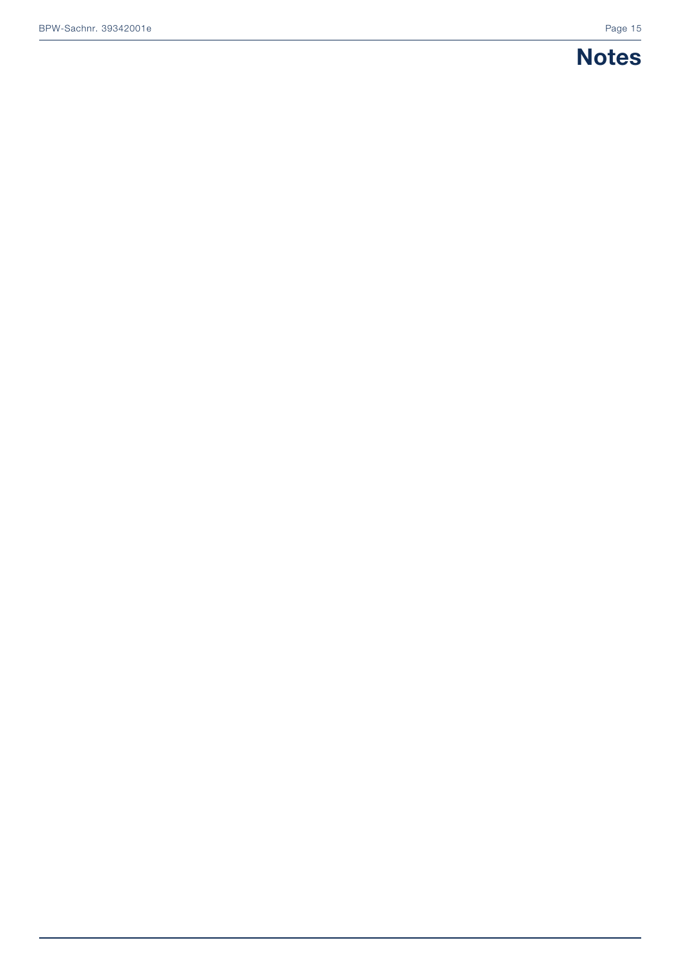